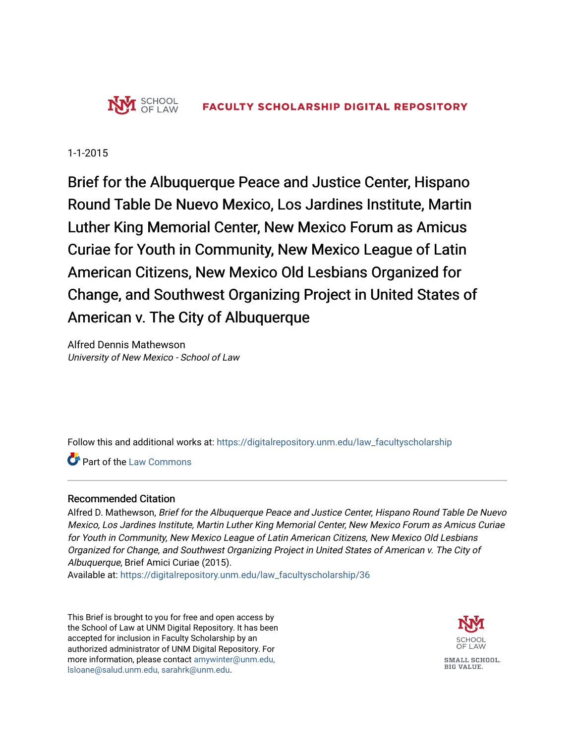

1-1-2015

Brief for the Albuquerque Peace and Justice Center, Hispano Round Table De Nuevo Mexico, Los Jardines Institute, Martin Luther King Memorial Center, New Mexico Forum as Amicus Curiae for Youth in Community, New Mexico League of Latin American Citizens, New Mexico Old Lesbians Organized for Change, and Southwest Organizing Project in United States of American v. The City of Albuquerque

Alfred Dennis Mathewson University of New Mexico - School of Law

Follow this and additional works at: [https://digitalrepository.unm.edu/law\\_facultyscholarship](https://digitalrepository.unm.edu/law_facultyscholarship?utm_source=digitalrepository.unm.edu%2Flaw_facultyscholarship%2F36&utm_medium=PDF&utm_campaign=PDFCoverPages) 

**C**<sup> $\bullet$ </sup> Part of the [Law Commons](http://network.bepress.com/hgg/discipline/578?utm_source=digitalrepository.unm.edu%2Flaw_facultyscholarship%2F36&utm_medium=PDF&utm_campaign=PDFCoverPages)

## Recommended Citation

Alfred D. Mathewson, Brief for the Albuquerque Peace and Justice Center, Hispano Round Table De Nuevo Mexico, Los Jardines Institute, Martin Luther King Memorial Center, New Mexico Forum as Amicus Curiae for Youth in Community, New Mexico League of Latin American Citizens, New Mexico Old Lesbians Organized for Change, and Southwest Organizing Project in United States of American v. The City of Albuquerque, Brief Amici Curiae (2015).

Available at: [https://digitalrepository.unm.edu/law\\_facultyscholarship/36](https://digitalrepository.unm.edu/law_facultyscholarship/36?utm_source=digitalrepository.unm.edu%2Flaw_facultyscholarship%2F36&utm_medium=PDF&utm_campaign=PDFCoverPages)

This Brief is brought to you for free and open access by the School of Law at UNM Digital Repository. It has been accepted for inclusion in Faculty Scholarship by an authorized administrator of UNM Digital Repository. For more information, please contact [amywinter@unm.edu,](mailto:amywinter@unm.edu,%20lsloane@salud.unm.edu,%20sarahrk@unm.edu)  [lsloane@salud.unm.edu, sarahrk@unm.edu.](mailto:amywinter@unm.edu,%20lsloane@salud.unm.edu,%20sarahrk@unm.edu)

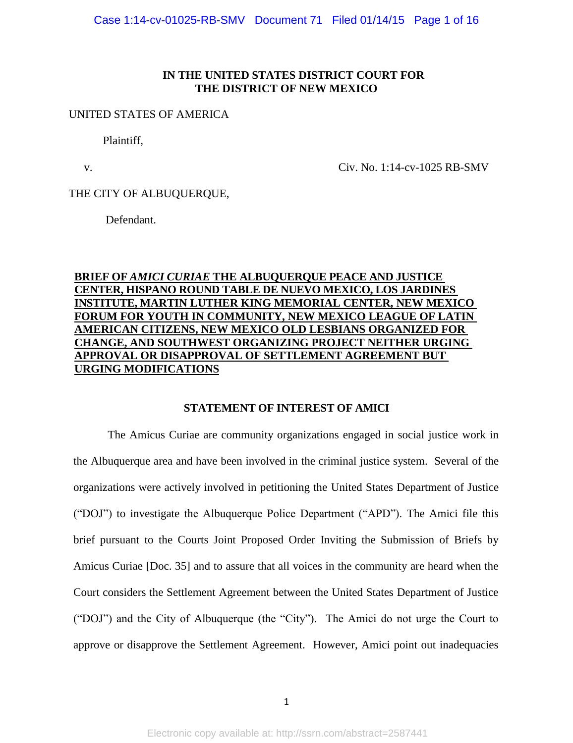### **IN THE UNITED STATES DISTRICT COURT FOR THE DISTRICT OF NEW MEXICO**

#### UNITED STATES OF AMERICA

Plaintiff,

v. Civ. No. 1:14-cv-1025 RB-SMV

#### THE CITY OF ALBUQUERQUE,

Defendant.

## **BRIEF OF** *AMICI CURIAE* **THE ALBUQUERQUE PEACE AND JUSTICE CENTER, HISPANO ROUND TABLE DE NUEVO MEXICO, LOS JARDINES INSTITUTE, MARTIN LUTHER KING MEMORIAL CENTER, NEW MEXICO FORUM FOR YOUTH IN COMMUNITY, NEW MEXICO LEAGUE OF LATIN AMERICAN CITIZENS, NEW MEXICO OLD LESBIANS ORGANIZED FOR CHANGE, AND SOUTHWEST ORGANIZING PROJECT NEITHER URGING APPROVAL OR DISAPPROVAL OF SETTLEMENT AGREEMENT BUT URGING MODIFICATIONS**

#### **STATEMENT OF INTEREST OF AMICI**

The Amicus Curiae are community organizations engaged in social justice work in the Albuquerque area and have been involved in the criminal justice system. Several of the organizations were actively involved in petitioning the United States Department of Justice ("DOJ") to investigate the Albuquerque Police Department ("APD"). The Amici file this brief pursuant to the Courts Joint Proposed Order Inviting the Submission of Briefs by Amicus Curiae [Doc. 35] and to assure that all voices in the community are heard when the Court considers the Settlement Agreement between the United States Department of Justice ("DOJ") and the City of Albuquerque (the "City"). The Amici do not urge the Court to approve or disapprove the Settlement Agreement. However, Amici point out inadequacies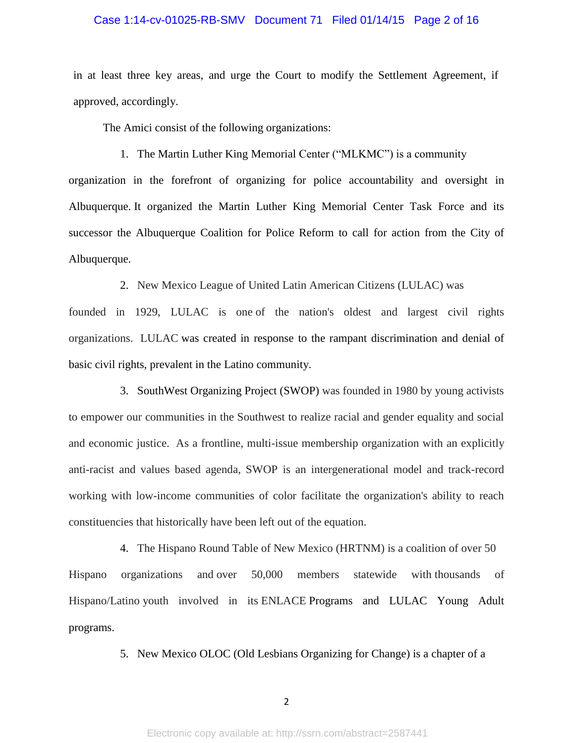#### Case 1:14-cv-01025-RB-SMV Document 71 Filed 01/14/15 Page 2 of 16

in at least three key areas, and urge the Court to modify the Settlement Agreement, if approved, accordingly.

The Amici consist of the following organizations:

1. The Martin Luther King Memorial Center ("MLKMC") is a community

organization in the forefront of organizing for police accountability and oversight in Albuquerque. It organized the Martin Luther King Memorial Center Task Force and its successor the Albuquerque Coalition for Police Reform to call for action from the City of Albuquerque.

2. New Mexico League of United Latin American Citizens (LULAC) was

founded in 1929, LULAC is one of the nation's oldest and largest civil rights organizations. LULAC was created in response to the rampant discrimination and denial of basic civil rights, prevalent in the Latino community.

3. SouthWest Organizing Project (SWOP) was founded in 1980 by young activists to empower our communities in the Southwest to realize racial and gender equality and social and economic justice. As a frontline, multi-issue membership organization with an explicitly anti-racist and values based agenda, SWOP is an intergenerational model and track-record working with low-income communities of color facilitate the organization's ability to reach constituencies that historically have been left out of the equation.

4. The Hispano Round Table of New Mexico (HRTNM) is a coalition of over 50 Hispano organizations and over 50,000 members statewide with thousands of Hispano/Latino youth involved in its ENLACE Programs and LULAC Young Adult programs.

5. New Mexico OLOC (Old Lesbians Organizing for Change) is a chapter of a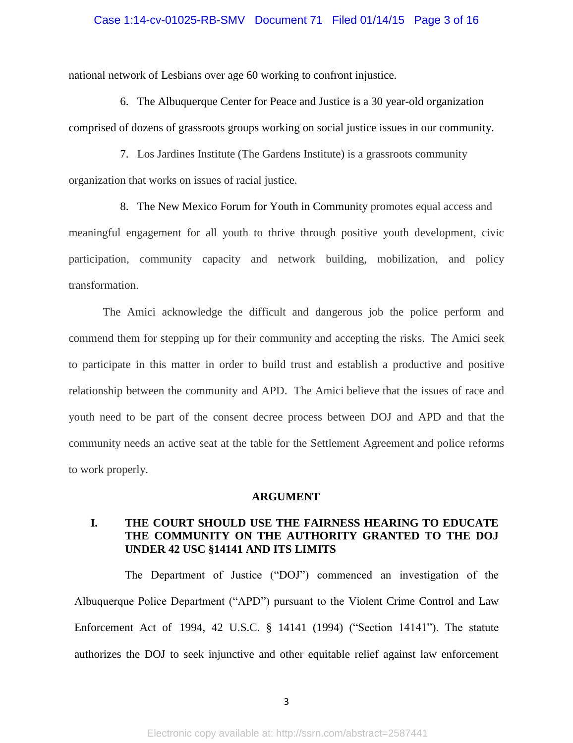### Case 1:14-cv-01025-RB-SMV Document 71 Filed 01/14/15 Page 3 of 16

national network of Lesbians over age 60 working to confront injustice.

6. The Albuquerque Center for Peace and Justice is a 30 year-old organization comprised of dozens of grassroots groups working on social justice issues in our community.

7. Los Jardines Institute (The Gardens Institute) is a grassroots community organization that works on issues of racial justice.

8. The New Mexico Forum for Youth in Community promotes equal access and meaningful engagement for all youth to thrive through positive youth development, civic participation, community capacity and network building, mobilization, and policy transformation.

The Amici acknowledge the difficult and dangerous job the police perform and commend them for stepping up for their community and accepting the risks. The Amici seek to participate in this matter in order to build trust and establish a productive and positive relationship between the community and APD. The Amici believe that the issues of race and youth need to be part of the consent decree process between DOJ and APD and that the community needs an active seat at the table for the Settlement Agreement and police reforms to work properly.

#### **ARGUMENT**

# **I. THE COURT SHOULD USE THE FAIRNESS HEARING TO EDUCATE THE COMMUNITY ON THE AUTHORITY GRANTED TO THE DOJ UNDER 42 USC §14141 AND ITS LIMITS**

The Department of Justice ("DOJ") commenced an investigation of the Albuquerque Police Department ("APD") pursuant to the Violent Crime Control and Law Enforcement Act of 1994, 42 U.S.C. § 14141 (1994) ("Section 14141"). The statute authorizes the DOJ to seek injunctive and other equitable relief against law enforcement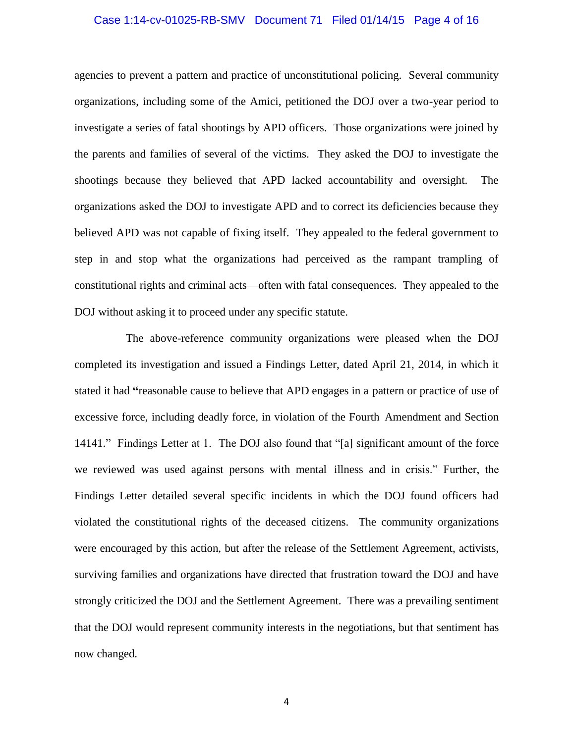### Case 1:14-cv-01025-RB-SMV Document 71 Filed 01/14/15 Page 4 of 16

agencies to prevent a pattern and practice of unconstitutional policing. Several community organizations, including some of the Amici, petitioned the DOJ over a two-year period to investigate a series of fatal shootings by APD officers. Those organizations were joined by the parents and families of several of the victims. They asked the DOJ to investigate the shootings because they believed that APD lacked accountability and oversight. The organizations asked the DOJ to investigate APD and to correct its deficiencies because they believed APD was not capable of fixing itself. They appealed to the federal government to step in and stop what the organizations had perceived as the rampant trampling of constitutional rights and criminal acts—often with fatal consequences. They appealed to the DOJ without asking it to proceed under any specific statute.

The above-reference community organizations were pleased when the DOJ completed its investigation and issued a Findings Letter, dated April 21, 2014, in which it stated it had **"**reasonable cause to believe that APD engages in a pattern or practice of use of excessive force, including deadly force, in violation of the Fourth Amendment and Section 14141." Findings Letter at 1. The DOJ also found that "[a] significant amount of the force we reviewed was used against persons with mental illness and in crisis." Further, the Findings Letter detailed several specific incidents in which the DOJ found officers had violated the constitutional rights of the deceased citizens. The community organizations were encouraged by this action, but after the release of the Settlement Agreement, activists, surviving families and organizations have directed that frustration toward the DOJ and have strongly criticized the DOJ and the Settlement Agreement. There was a prevailing sentiment that the DOJ would represent community interests in the negotiations, but that sentiment has now changed.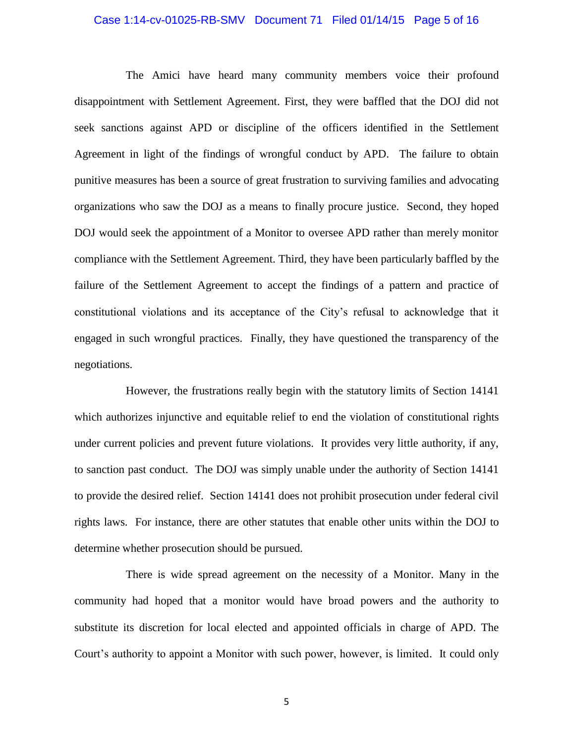### Case 1:14-cv-01025-RB-SMV Document 71 Filed 01/14/15 Page 5 of 16

The Amici have heard many community members voice their profound disappointment with Settlement Agreement. First, they were baffled that the DOJ did not seek sanctions against APD or discipline of the officers identified in the Settlement Agreement in light of the findings of wrongful conduct by APD. The failure to obtain punitive measures has been a source of great frustration to surviving families and advocating organizations who saw the DOJ as a means to finally procure justice. Second, they hoped DOJ would seek the appointment of a Monitor to oversee APD rather than merely monitor compliance with the Settlement Agreement. Third, they have been particularly baffled by the failure of the Settlement Agreement to accept the findings of a pattern and practice of constitutional violations and its acceptance of the City's refusal to acknowledge that it engaged in such wrongful practices. Finally, they have questioned the transparency of the negotiations.

However, the frustrations really begin with the statutory limits of Section 14141 which authorizes injunctive and equitable relief to end the violation of constitutional rights under current policies and prevent future violations. It provides very little authority, if any, to sanction past conduct. The DOJ was simply unable under the authority of Section 14141 to provide the desired relief. Section 14141 does not prohibit prosecution under federal civil rights laws. For instance, there are other statutes that enable other units within the DOJ to determine whether prosecution should be pursued.

There is wide spread agreement on the necessity of a Monitor. Many in the community had hoped that a monitor would have broad powers and the authority to substitute its discretion for local elected and appointed officials in charge of APD. The Court's authority to appoint a Monitor with such power, however, is limited. It could only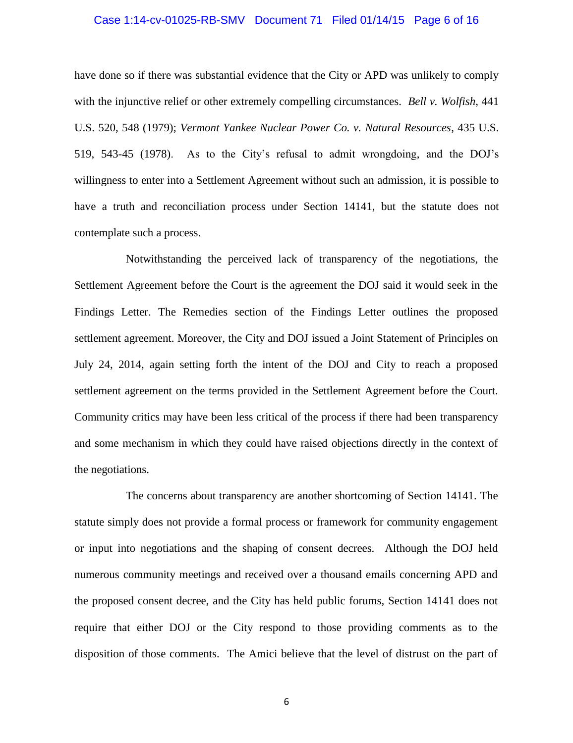#### Case 1:14-cv-01025-RB-SMV Document 71 Filed 01/14/15 Page 6 of 16

have done so if there was substantial evidence that the City or APD was unlikely to comply with the injunctive relief or other extremely compelling circumstances. *Bell v. Wolfish*, 441 U.S. 520, 548 (1979); *Vermont Yankee Nuclear Power Co. v. Natural Resources*, 435 U.S. 519, 543-45 (1978). As to the City's refusal to admit wrongdoing, and the DOJ's willingness to enter into a Settlement Agreement without such an admission, it is possible to have a truth and reconciliation process under Section 14141, but the statute does not contemplate such a process.

Notwithstanding the perceived lack of transparency of the negotiations, the Settlement Agreement before the Court is the agreement the DOJ said it would seek in the Findings Letter. The Remedies section of the Findings Letter outlines the proposed settlement agreement. Moreover, the City and DOJ issued a Joint Statement of Principles on July 24, 2014, again setting forth the intent of the DOJ and City to reach a proposed settlement agreement on the terms provided in the Settlement Agreement before the Court. Community critics may have been less critical of the process if there had been transparency and some mechanism in which they could have raised objections directly in the context of the negotiations.

The concerns about transparency are another shortcoming of Section 14141. The statute simply does not provide a formal process or framework for community engagement or input into negotiations and the shaping of consent decrees. Although the DOJ held numerous community meetings and received over a thousand emails concerning APD and the proposed consent decree, and the City has held public forums, Section 14141 does not require that either DOJ or the City respond to those providing comments as to the disposition of those comments. The Amici believe that the level of distrust on the part of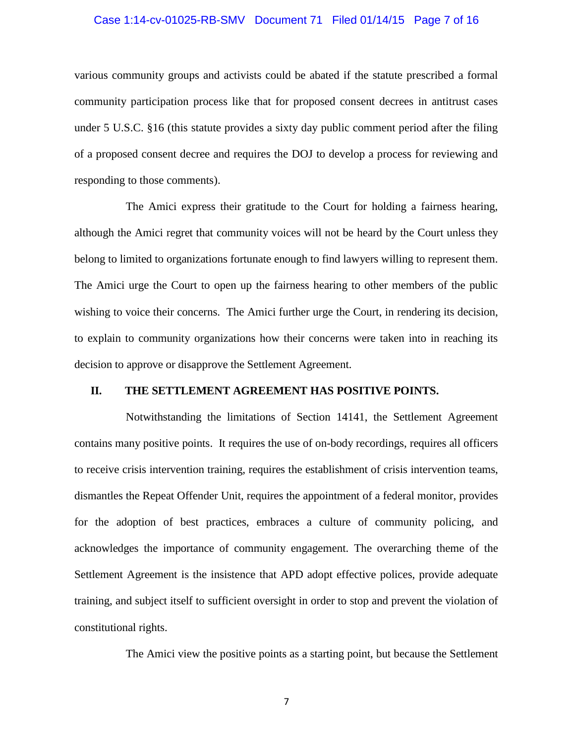### Case 1:14-cv-01025-RB-SMV Document 71 Filed 01/14/15 Page 7 of 16

various community groups and activists could be abated if the statute prescribed a formal community participation process like that for proposed consent decrees in antitrust cases under 5 U.S.C. §16 (this statute provides a sixty day public comment period after the filing of a proposed consent decree and requires the DOJ to develop a process for reviewing and responding to those comments).

The Amici express their gratitude to the Court for holding a fairness hearing, although the Amici regret that community voices will not be heard by the Court unless they belong to limited to organizations fortunate enough to find lawyers willing to represent them. The Amici urge the Court to open up the fairness hearing to other members of the public wishing to voice their concerns. The Amici further urge the Court, in rendering its decision, to explain to community organizations how their concerns were taken into in reaching its decision to approve or disapprove the Settlement Agreement.

### **II. THE SETTLEMENT AGREEMENT HAS POSITIVE POINTS.**

Notwithstanding the limitations of Section 14141, the Settlement Agreement contains many positive points. It requires the use of on-body recordings, requires all officers to receive crisis intervention training, requires the establishment of crisis intervention teams, dismantles the Repeat Offender Unit, requires the appointment of a federal monitor, provides for the adoption of best practices, embraces a culture of community policing, and acknowledges the importance of community engagement. The overarching theme of the Settlement Agreement is the insistence that APD adopt effective polices, provide adequate training, and subject itself to sufficient oversight in order to stop and prevent the violation of constitutional rights.

The Amici view the positive points as a starting point, but because the Settlement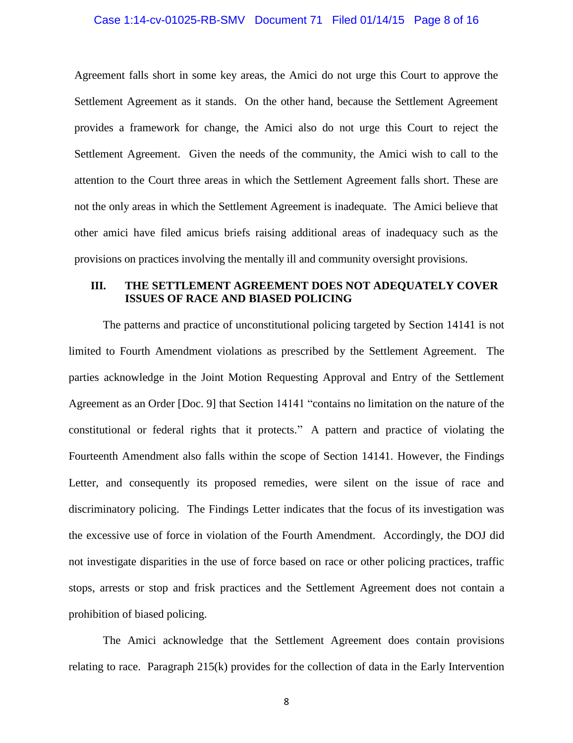#### Case 1:14-cv-01025-RB-SMV Document 71 Filed 01/14/15 Page 8 of 16

Agreement falls short in some key areas, the Amici do not urge this Court to approve the Settlement Agreement as it stands. On the other hand, because the Settlement Agreement provides a framework for change, the Amici also do not urge this Court to reject the Settlement Agreement. Given the needs of the community, the Amici wish to call to the attention to the Court three areas in which the Settlement Agreement falls short. These are not the only areas in which the Settlement Agreement is inadequate. The Amici believe that other amici have filed amicus briefs raising additional areas of inadequacy such as the provisions on practices involving the mentally ill and community oversight provisions.

### **III. THE SETTLEMENT AGREEMENT DOES NOT ADEQUATELY COVER ISSUES OF RACE AND BIASED POLICING**

The patterns and practice of unconstitutional policing targeted by Section 14141 is not limited to Fourth Amendment violations as prescribed by the Settlement Agreement. The parties acknowledge in the Joint Motion Requesting Approval and Entry of the Settlement Agreement as an Order [Doc. 9] that Section 14141 "contains no limitation on the nature of the constitutional or federal rights that it protects." A pattern and practice of violating the Fourteenth Amendment also falls within the scope of Section 14141. However, the Findings Letter, and consequently its proposed remedies, were silent on the issue of race and discriminatory policing. The Findings Letter indicates that the focus of its investigation was the excessive use of force in violation of the Fourth Amendment. Accordingly, the DOJ did not investigate disparities in the use of force based on race or other policing practices, traffic stops, arrests or stop and frisk practices and the Settlement Agreement does not contain a prohibition of biased policing.

The Amici acknowledge that the Settlement Agreement does contain provisions relating to race. Paragraph 215(k) provides for the collection of data in the Early Intervention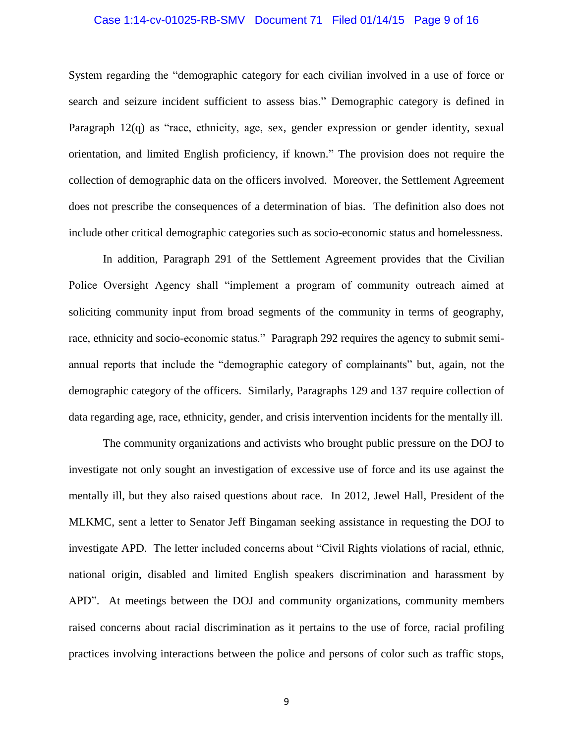### Case 1:14-cv-01025-RB-SMV Document 71 Filed 01/14/15 Page 9 of 16

System regarding the "demographic category for each civilian involved in a use of force or search and seizure incident sufficient to assess bias." Demographic category is defined in Paragraph 12(q) as "race, ethnicity, age, sex, gender expression or gender identity, sexual orientation, and limited English proficiency, if known." The provision does not require the collection of demographic data on the officers involved. Moreover, the Settlement Agreement does not prescribe the consequences of a determination of bias. The definition also does not include other critical demographic categories such as socio-economic status and homelessness.

In addition, Paragraph 291 of the Settlement Agreement provides that the Civilian Police Oversight Agency shall "implement a program of community outreach aimed at soliciting community input from broad segments of the community in terms of geography, race, ethnicity and socio-economic status." Paragraph 292 requires the agency to submit semiannual reports that include the "demographic category of complainants" but, again, not the demographic category of the officers. Similarly, Paragraphs 129 and 137 require collection of data regarding age, race, ethnicity, gender, and crisis intervention incidents for the mentally ill.

The community organizations and activists who brought public pressure on the DOJ to investigate not only sought an investigation of excessive use of force and its use against the mentally ill, but they also raised questions about race. In 2012, Jewel Hall, President of the MLKMC, sent a letter to Senator Jeff Bingaman seeking assistance in requesting the DOJ to investigate APD. The letter included concerns about "Civil Rights violations of racial, ethnic, national origin, disabled and limited English speakers discrimination and harassment by APD". At meetings between the DOJ and community organizations, community members raised concerns about racial discrimination as it pertains to the use of force, racial profiling practices involving interactions between the police and persons of color such as traffic stops,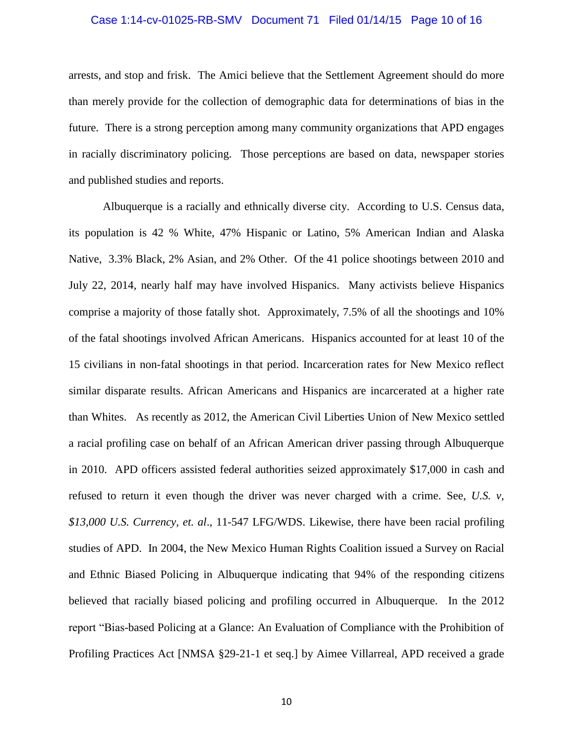#### Case 1:14-cv-01025-RB-SMV Document 71 Filed 01/14/15 Page 10 of 16

arrests, and stop and frisk. The Amici believe that the Settlement Agreement should do more than merely provide for the collection of demographic data for determinations of bias in the future. There is a strong perception among many community organizations that APD engages in racially discriminatory policing. Those perceptions are based on data, newspaper stories and published studies and reports.

Albuquerque is a racially and ethnically diverse city. According to U.S. Census data, its population is 42 % White, 47% Hispanic or Latino, 5% American Indian and Alaska Native, 3.3% Black, 2% Asian, and 2% Other. Of the 41 police shootings between 2010 and July 22, 2014, nearly half may have involved Hispanics. Many activists believe Hispanics comprise a majority of those fatally shot. Approximately, 7.5% of all the shootings and 10% of the fatal shootings involved African Americans. Hispanics accounted for at least 10 of the 15 civilians in non-fatal shootings in that period. Incarceration rates for New Mexico reflect similar disparate results. African Americans and Hispanics are incarcerated at a higher rate than Whites. As recently as 2012, the American Civil Liberties Union of New Mexico settled a racial profiling case on behalf of an African American driver passing through Albuquerque in 2010. APD officers assisted federal authorities seized approximately \$17,000 in cash and refused to return it even though the driver was never charged with a crime. See, *U.S. v, \$13,000 U.S. Currency, et. al*., 11-547 LFG/WDS. Likewise, there have been racial profiling studies of APD. In 2004, the New Mexico Human Rights Coalition issued a Survey on Racial and Ethnic Biased Policing in Albuquerque indicating that 94% of the responding citizens believed that racially biased policing and profiling occurred in Albuquerque. In the 2012 report "Bias-based Policing at a Glance: An Evaluation of Compliance with the Prohibition of Profiling Practices Act [NMSA §29-21-1 et seq.] by Aimee Villarreal, APD received a grade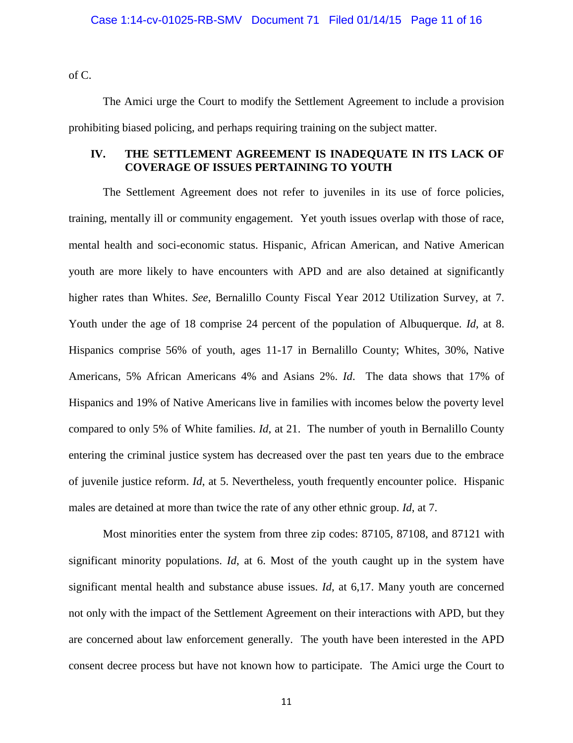of C.

The Amici urge the Court to modify the Settlement Agreement to include a provision prohibiting biased policing, and perhaps requiring training on the subject matter.

## **IV. THE SETTLEMENT AGREEMENT IS INADEQUATE IN ITS LACK OF COVERAGE OF ISSUES PERTAINING TO YOUTH**

The Settlement Agreement does not refer to juveniles in its use of force policies, training, mentally ill or community engagement. Yet youth issues overlap with those of race, mental health and soci-economic status. Hispanic, African American, and Native American youth are more likely to have encounters with APD and are also detained at significantly higher rates than Whites. *See*, Bernalillo County Fiscal Year 2012 Utilization Survey, at 7. Youth under the age of 18 comprise 24 percent of the population of Albuquerque. *Id*, at 8. Hispanics comprise 56% of youth, ages 11-17 in Bernalillo County; Whites, 30%, Native Americans, 5% African Americans 4% and Asians 2%. *Id*. The data shows that 17% of Hispanics and 19% of Native Americans live in families with incomes below the poverty level compared to only 5% of White families. *Id*, at 21. The number of youth in Bernalillo County entering the criminal justice system has decreased over the past ten years due to the embrace of juvenile justice reform. *Id*, at 5. Nevertheless, youth frequently encounter police. Hispanic males are detained at more than twice the rate of any other ethnic group. *Id*, at 7.

Most minorities enter the system from three zip codes: 87105, 87108, and 87121 with significant minority populations. *Id*, at 6. Most of the youth caught up in the system have significant mental health and substance abuse issues. *Id*, at 6,17. Many youth are concerned not only with the impact of the Settlement Agreement on their interactions with APD, but they are concerned about law enforcement generally. The youth have been interested in the APD consent decree process but have not known how to participate. The Amici urge the Court to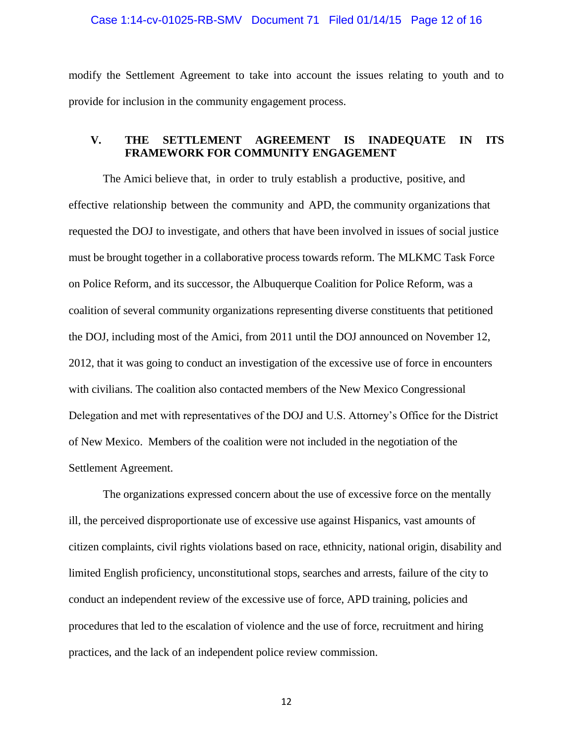#### Case 1:14-cv-01025-RB-SMV Document 71 Filed 01/14/15 Page 12 of 16

modify the Settlement Agreement to take into account the issues relating to youth and to provide for inclusion in the community engagement process.

## **V. THE SETTLEMENT AGREEMENT IS INADEQUATE IN ITS FRAMEWORK FOR COMMUNITY ENGAGEMENT**

The Amici believe that, in order to truly establish a productive, positive, and effective relationship between the community and APD, the community organizations that requested the DOJ to investigate, and others that have been involved in issues of social justice must be brought together in a collaborative process towards reform. The MLKMC Task Force on Police Reform, and its successor, the Albuquerque Coalition for Police Reform, was a coalition of several community organizations representing diverse constituents that petitioned the DOJ, including most of the Amici, from 2011 until the DOJ announced on November 12, 2012, that it was going to conduct an investigation of the excessive use of force in encounters with civilians. The coalition also contacted members of the New Mexico Congressional Delegation and met with representatives of the DOJ and U.S. Attorney's Office for the District of New Mexico. Members of the coalition were not included in the negotiation of the Settlement Agreement.

The organizations expressed concern about the use of excessive force on the mentally ill, the perceived disproportionate use of excessive use against Hispanics, vast amounts of citizen complaints, civil rights violations based on race, ethnicity, national origin, disability and limited English proficiency, unconstitutional stops, searches and arrests, failure of the city to conduct an independent review of the excessive use of force, APD training, policies and procedures that led to the escalation of violence and the use of force, recruitment and hiring practices, and the lack of an independent police review commission.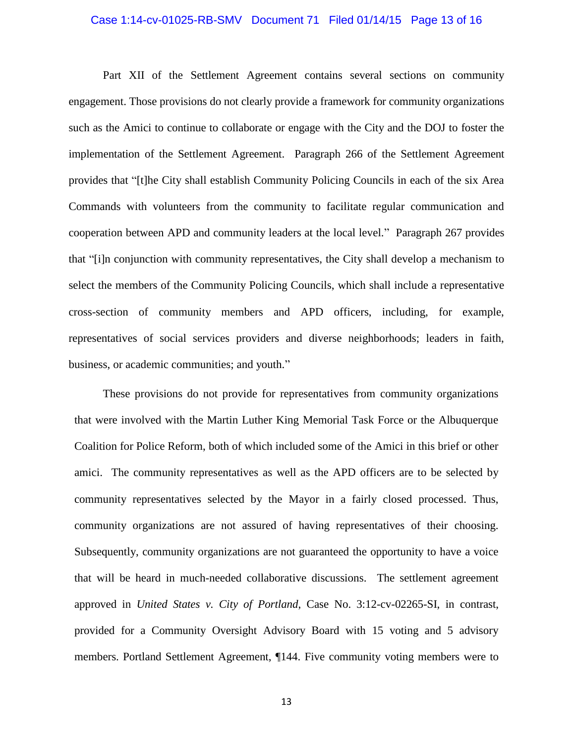### Case 1:14-cv-01025-RB-SMV Document 71 Filed 01/14/15 Page 13 of 16

Part XII of the Settlement Agreement contains several sections on community engagement. Those provisions do not clearly provide a framework for community organizations such as the Amici to continue to collaborate or engage with the City and the DOJ to foster the implementation of the Settlement Agreement. Paragraph 266 of the Settlement Agreement provides that "[t]he City shall establish Community Policing Councils in each of the six Area Commands with volunteers from the community to facilitate regular communication and cooperation between APD and community leaders at the local level." Paragraph 267 provides that "[i]n conjunction with community representatives, the City shall develop a mechanism to select the members of the Community Policing Councils, which shall include a representative cross-section of community members and APD officers, including, for example, representatives of social services providers and diverse neighborhoods; leaders in faith, business, or academic communities; and youth."

These provisions do not provide for representatives from community organizations that were involved with the Martin Luther King Memorial Task Force or the Albuquerque Coalition for Police Reform, both of which included some of the Amici in this brief or other amici. The community representatives as well as the APD officers are to be selected by community representatives selected by the Mayor in a fairly closed processed. Thus, community organizations are not assured of having representatives of their choosing. Subsequently, community organizations are not guaranteed the opportunity to have a voice that will be heard in much-needed collaborative discussions. The settlement agreement approved in *United States v. City of Portland*, Case No. 3:12-cv-02265-SI, in contrast, provided for a Community Oversight Advisory Board with 15 voting and 5 advisory members. Portland Settlement Agreement, ¶144. Five community voting members were to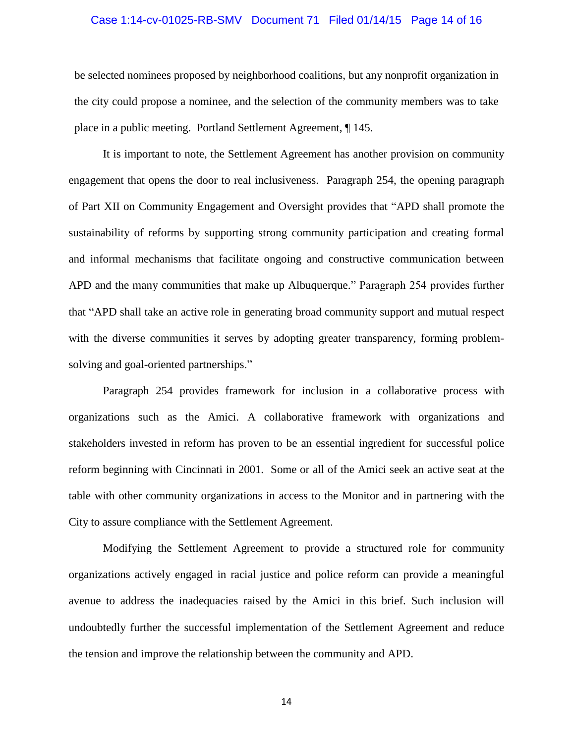### Case 1:14-cv-01025-RB-SMV Document 71 Filed 01/14/15 Page 14 of 16

be selected nominees proposed by neighborhood coalitions, but any nonprofit organization in the city could propose a nominee, and the selection of the community members was to take place in a public meeting. Portland Settlement Agreement, ¶ 145.

It is important to note, the Settlement Agreement has another provision on community engagement that opens the door to real inclusiveness. Paragraph 254, the opening paragraph of Part XII on Community Engagement and Oversight provides that "APD shall promote the sustainability of reforms by supporting strong community participation and creating formal and informal mechanisms that facilitate ongoing and constructive communication between APD and the many communities that make up Albuquerque." Paragraph 254 provides further that "APD shall take an active role in generating broad community support and mutual respect with the diverse communities it serves by adopting greater transparency, forming problemsolving and goal-oriented partnerships."

Paragraph 254 provides framework for inclusion in a collaborative process with organizations such as the Amici. A collaborative framework with organizations and stakeholders invested in reform has proven to be an essential ingredient for successful police reform beginning with Cincinnati in 2001. Some or all of the Amici seek an active seat at the table with other community organizations in access to the Monitor and in partnering with the City to assure compliance with the Settlement Agreement.

Modifying the Settlement Agreement to provide a structured role for community organizations actively engaged in racial justice and police reform can provide a meaningful avenue to address the inadequacies raised by the Amici in this brief. Such inclusion will undoubtedly further the successful implementation of the Settlement Agreement and reduce the tension and improve the relationship between the community and APD.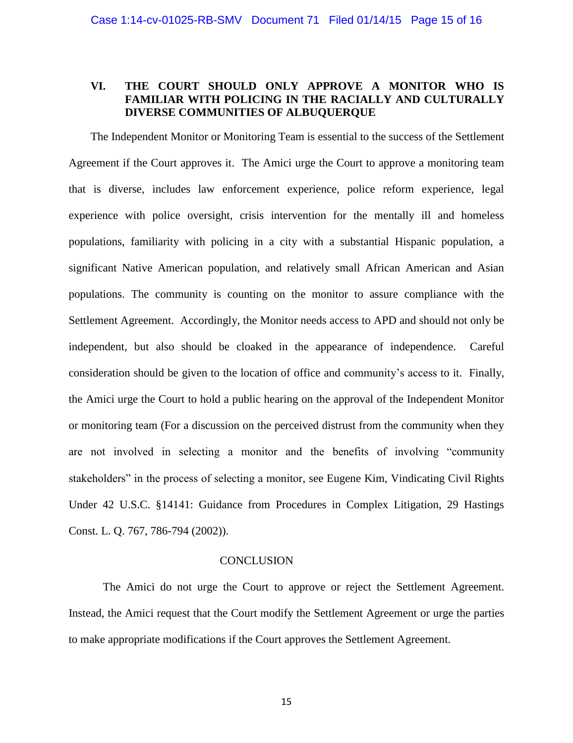## **VI. THE COURT SHOULD ONLY APPROVE A MONITOR WHO IS FAMILIAR WITH POLICING IN THE RACIALLY AND CULTURALLY DIVERSE COMMUNITIES OF ALBUQUERQUE**

The Independent Monitor or Monitoring Team is essential to the success of the Settlement Agreement if the Court approves it. The Amici urge the Court to approve a monitoring team that is diverse, includes law enforcement experience, police reform experience, legal experience with police oversight, crisis intervention for the mentally ill and homeless populations, familiarity with policing in a city with a substantial Hispanic population, a significant Native American population, and relatively small African American and Asian populations. The community is counting on the monitor to assure compliance with the Settlement Agreement. Accordingly, the Monitor needs access to APD and should not only be independent, but also should be cloaked in the appearance of independence. Careful consideration should be given to the location of office and community's access to it. Finally, the Amici urge the Court to hold a public hearing on the approval of the Independent Monitor or monitoring team (For a discussion on the perceived distrust from the community when they are not involved in selecting a monitor and the benefits of involving "community stakeholders" in the process of selecting a monitor, see Eugene Kim, Vindicating Civil Rights Under 42 U.S.C. §14141: Guidance from Procedures in Complex Litigation, 29 Hastings Const. L. Q. 767, 786-794 (2002)).

#### **CONCLUSION**

The Amici do not urge the Court to approve or reject the Settlement Agreement. Instead, the Amici request that the Court modify the Settlement Agreement or urge the parties to make appropriate modifications if the Court approves the Settlement Agreement.